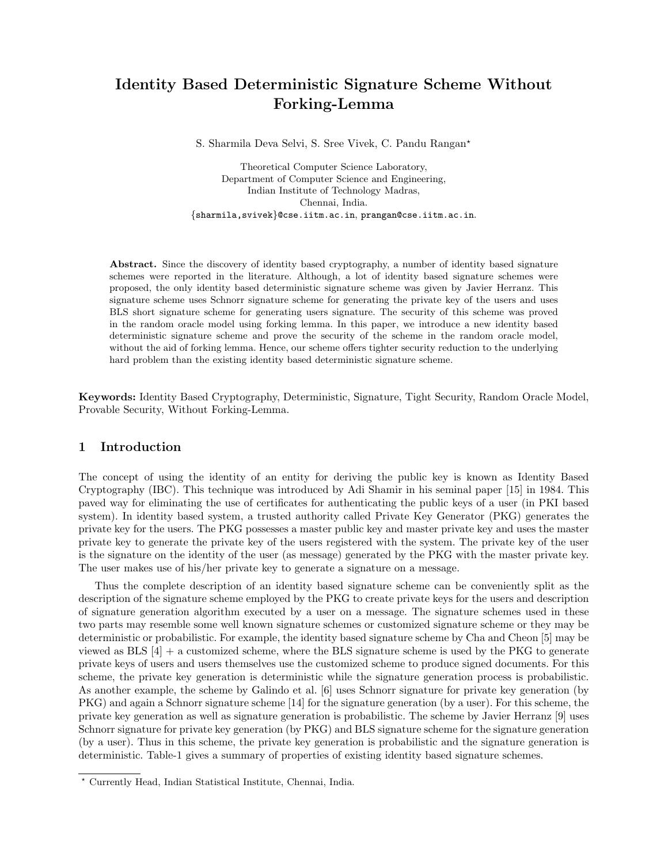# Identity Based Deterministic Signature Scheme Without Forking-Lemma

S. Sharmila Deva Selvi, S. Sree Vivek, C. Pandu Rangan?

Theoretical Computer Science Laboratory, Department of Computer Science and Engineering, Indian Institute of Technology Madras, Chennai, India. {sharmila,svivek}@cse.iitm.ac.in, prangan@cse.iitm.ac.in.

Abstract. Since the discovery of identity based cryptography, a number of identity based signature schemes were reported in the literature. Although, a lot of identity based signature schemes were proposed, the only identity based deterministic signature scheme was given by Javier Herranz. This signature scheme uses Schnorr signature scheme for generating the private key of the users and uses BLS short signature scheme for generating users signature. The security of this scheme was proved in the random oracle model using forking lemma. In this paper, we introduce a new identity based deterministic signature scheme and prove the security of the scheme in the random oracle model, without the aid of forking lemma. Hence, our scheme offers tighter security reduction to the underlying hard problem than the existing identity based deterministic signature scheme.

Keywords: Identity Based Cryptography, Deterministic, Signature, Tight Security, Random Oracle Model, Provable Security, Without Forking-Lemma.

## 1 Introduction

The concept of using the identity of an entity for deriving the public key is known as Identity Based Cryptography (IBC). This technique was introduced by Adi Shamir in his seminal paper [15] in 1984. This paved way for eliminating the use of certificates for authenticating the public keys of a user (in PKI based system). In identity based system, a trusted authority called Private Key Generator (PKG) generates the private key for the users. The PKG possesses a master public key and master private key and uses the master private key to generate the private key of the users registered with the system. The private key of the user is the signature on the identity of the user (as message) generated by the PKG with the master private key. The user makes use of his/her private key to generate a signature on a message.

Thus the complete description of an identity based signature scheme can be conveniently split as the description of the signature scheme employed by the PKG to create private keys for the users and description of signature generation algorithm executed by a user on a message. The signature schemes used in these two parts may resemble some well known signature schemes or customized signature scheme or they may be deterministic or probabilistic. For example, the identity based signature scheme by Cha and Cheon [5] may be viewed as BLS  $[4]$  + a customized scheme, where the BLS signature scheme is used by the PKG to generate private keys of users and users themselves use the customized scheme to produce signed documents. For this scheme, the private key generation is deterministic while the signature generation process is probabilistic. As another example, the scheme by Galindo et al. [6] uses Schnorr signature for private key generation (by PKG) and again a Schnorr signature scheme [14] for the signature generation (by a user). For this scheme, the private key generation as well as signature generation is probabilistic. The scheme by Javier Herranz [9] uses Schnorr signature for private key generation (by PKG) and BLS signature scheme for the signature generation (by a user). Thus in this scheme, the private key generation is probabilistic and the signature generation is deterministic. Table-1 gives a summary of properties of existing identity based signature schemes.

<sup>?</sup> Currently Head, Indian Statistical Institute, Chennai, India.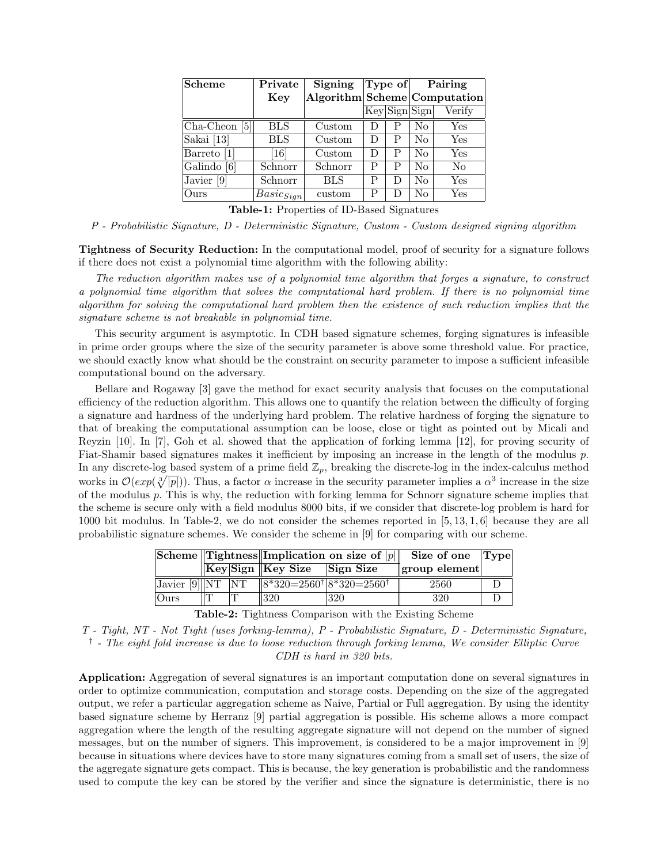| Scheme                     | Private        | Signing    |        |               | Type of Pairing              |                |
|----------------------------|----------------|------------|--------|---------------|------------------------------|----------------|
|                            | Key            |            |        |               | Algorithm Scheme Computation |                |
|                            |                |            |        | Key Sign Sign |                              | Verify         |
| Cha-Cheon [5]              | <b>BLS</b>     | Custom     |        |               | No.                          | Yes            |
| Sakai [13]                 | <b>BLS</b>     | Custom     | $\Box$ | Р             | No.                          | Yes            |
| Barreto [1]                | $[16]$         | Custom     | I)     | P             | No.                          | Yes            |
| $\sqrt{\text{Galind}}$ [6] | Schnorr        | Schnorr    | Р      | Р             | No.                          | N <sub>o</sub> |
| Javier [9]                 | Schnorr        | <b>BLS</b> | Р      | I)            | No.                          | Yes            |
| Ours                       | $Basic_{Sign}$ | custom     | Р      |               | N <sub>0</sub>               | Yes            |

Table-1: Properties of ID-Based Signatures

P - Probabilistic Signature, D - Deterministic Signature, Custom - Custom designed signing algorithm

Tightness of Security Reduction: In the computational model, proof of security for a signature follows if there does not exist a polynomial time algorithm with the following ability:

The reduction algorithm makes use of a polynomial time algorithm that forges a signature, to construct a polynomial time algorithm that solves the computational hard problem. If there is no polynomial time algorithm for solving the computational hard problem then the existence of such reduction implies that the signature scheme is not breakable in polynomial time.

This security argument is asymptotic. In CDH based signature schemes, forging signatures is infeasible in prime order groups where the size of the security parameter is above some threshold value. For practice, we should exactly know what should be the constraint on security parameter to impose a sufficient infeasible computational bound on the adversary.

Bellare and Rogaway [3] gave the method for exact security analysis that focuses on the computational efficiency of the reduction algorithm. This allows one to quantify the relation between the difficulty of forging a signature and hardness of the underlying hard problem. The relative hardness of forging the signature to that of breaking the computational assumption can be loose, close or tight as pointed out by Micali and Reyzin [10]. In [7], Goh et al. showed that the application of forking lemma [12], for proving security of Fiat-Shamir based signatures makes it inefficient by imposing an increase in the length of the modulus p. In any discrete-log based system of a prime field  $\mathbb{Z}_p$ , breaking the discrete-log in the index-calculus method works in  $\mathcal{O}(exp(\sqrt[3]{|p|}))$ . Thus, a factor  $\alpha$  increase in the security parameter implies a  $\alpha^3$  increase in the size of the modulus p. This is why, the reduction with forking lemma for Schnorr signature scheme implies that the scheme is secure only with a field modulus 8000 bits, if we consider that discrete-log problem is hard for 1000 bit modulus. In Table-2, we do not consider the schemes reported in [5, 13, 1, 6] because they are all probabilistic signature schemes. We consider the scheme in [9] for comparing with our scheme.

|      |  |  |                                                 |                                                                      | Scheme Tightness Implication on size of $  p  $ Size of one Type |  |
|------|--|--|-------------------------------------------------|----------------------------------------------------------------------|------------------------------------------------------------------|--|
|      |  |  | $\ $ Key $\ $ Sign $\ $ Key Size $\ $ Sign Size |                                                                      | $\left\Vert \text{group element}\right\Vert$                     |  |
|      |  |  |                                                 | Javier [9] NT NT $8*320=2560$ <sup>†</sup> $8*320=2560$ <sup>†</sup> | 2560                                                             |  |
| Ours |  |  | 320                                             | 326                                                                  |                                                                  |  |

Table-2: Tightness Comparison with the Existing Scheme

T - Tight, NT - Not Tight (uses forking-lemma), P - Probabilistic Signature, D - Deterministic Signature, † - The eight fold increase is due to loose reduction through forking lemma, We consider Elliptic Curve CDH is hard in 320 bits.

Application: Aggregation of several signatures is an important computation done on several signatures in order to optimize communication, computation and storage costs. Depending on the size of the aggregated output, we refer a particular aggregation scheme as Naive, Partial or Full aggregation. By using the identity based signature scheme by Herranz [9] partial aggregation is possible. His scheme allows a more compact aggregation where the length of the resulting aggregate signature will not depend on the number of signed messages, but on the number of signers. This improvement, is considered to be a major improvement in [9] because in situations where devices have to store many signatures coming from a small set of users, the size of the aggregate signature gets compact. This is because, the key generation is probabilistic and the randomness used to compute the key can be stored by the verifier and since the signature is deterministic, there is no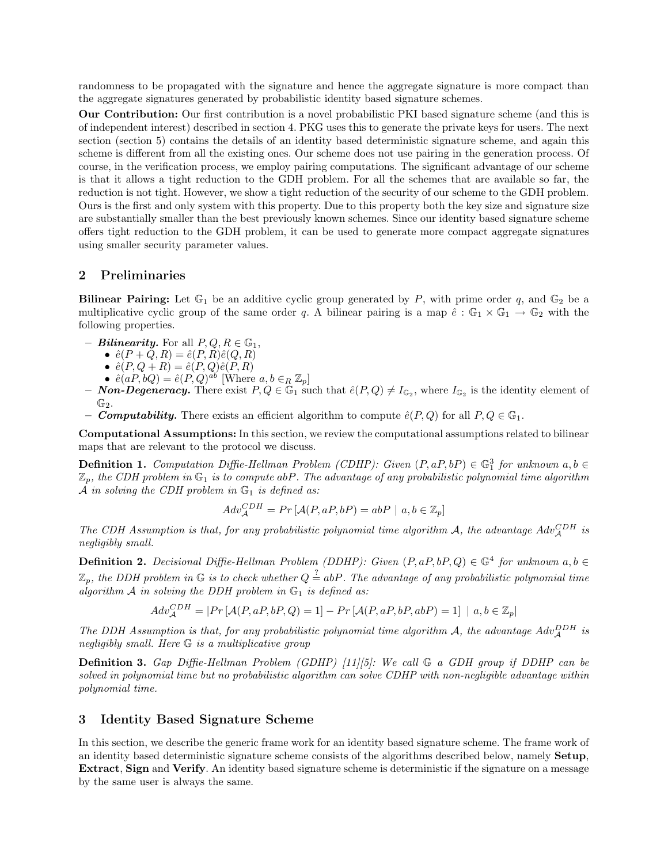randomness to be propagated with the signature and hence the aggregate signature is more compact than the aggregate signatures generated by probabilistic identity based signature schemes.

Our Contribution: Our first contribution is a novel probabilistic PKI based signature scheme (and this is of independent interest) described in section 4. PKG uses this to generate the private keys for users. The next section (section 5) contains the details of an identity based deterministic signature scheme, and again this scheme is different from all the existing ones. Our scheme does not use pairing in the generation process. Of course, in the verification process, we employ pairing computations. The significant advantage of our scheme is that it allows a tight reduction to the GDH problem. For all the schemes that are available so far, the reduction is not tight. However, we show a tight reduction of the security of our scheme to the GDH problem. Ours is the first and only system with this property. Due to this property both the key size and signature size are substantially smaller than the best previously known schemes. Since our identity based signature scheme offers tight reduction to the GDH problem, it can be used to generate more compact aggregate signatures using smaller security parameter values.

# 2 Preliminaries

Bilinear Pairing: Let  $\mathbb{G}_1$  be an additive cyclic group generated by P, with prime order q, and  $\mathbb{G}_2$  be a multiplicative cyclic group of the same order q. A bilinear pairing is a map  $\hat{e}: \mathbb{G}_1 \times \mathbb{G}_1 \to \mathbb{G}_2$  with the following properties.

- **Bilinearity.** For all  $P, Q, R \in \mathbb{G}_1$ ,
	- $\hat{e}(P+Q,R) = \hat{e}(P,R)\hat{e}(Q,R)$
	- $\hat{e}(P, Q + R) = \hat{e}(P, Q)\hat{e}(P, R)$
- $\hat{e}(aP, bQ) = \hat{e}(P, Q)^{ab}$  [Where  $a, b \in_R \mathbb{Z}_p$ ]  $-$  Non-Degeneracy. There exist  $P,Q \in \mathbb{G}_1$  such that  $\hat{e}(P,Q) \neq I_{\mathbb{G}_2}$ , where  $I_{\mathbb{G}_2}$  is the identity element of  $\mathbb{G}_2$ .
- **Computability.** There exists an efficient algorithm to compute  $\hat{e}(P,Q)$  for all  $P,Q \in \mathbb{G}_1$ .

Computational Assumptions: In this section, we review the computational assumptions related to bilinear maps that are relevant to the protocol we discuss.

**Definition 1.** Computation Diffie-Hellman Problem (CDHP): Given  $(P, aP, bP) \in \mathbb{G}_1^3$  for unknown  $a, b \in \mathbb{G}_2$  $\mathbb{Z}_p$ , the CDH problem in  $\mathbb{G}_1$  is to compute abP. The advantage of any probabilistic polynomial time algorithm A in solving the CDH problem in  $\mathbb{G}_1$  is defined as:

$$
Adv_{\mathcal{A}}^{CDH} = Pr\left[\mathcal{A}(P, aP, bP) = abP \mid a, b \in \mathbb{Z}_p\right]
$$

The CDH Assumption is that, for any probabilistic polynomial time algorithm A, the advantage  $Adv_{\mathcal{A}}^{CDH}$  is negligibly small.

**Definition 2.** Decisional Diffie-Hellman Problem (DDHP): Given  $(P, aP, bP, Q) \in \mathbb{G}^4$  for unknown  $a, b \in$  $\mathbb{Z}_p,$  the DDH problem in  $\mathbb G$  is to check whether  $Q\stackrel{?}{=}abP.$  The advantage of any probabilistic polynomial time algorithm A in solving the DDH problem in  $\mathbb{G}_1$  is defined as:

$$
Adv_{\mathcal{A}}^{CDH} = |Pr\left[\mathcal{A}(P, aP, bP, Q) = 1\right] - Pr\left[\mathcal{A}(P, aP, bP, abP) = 1\right] | a, b \in \mathbb{Z}_p|
$$

The DDH Assumption is that, for any probabilistic polynomial time algorithm A, the advantage  $Adv_{\mathcal{A}}^{DDH}$  is negligibly small. Here G is a multiplicative group

Definition 3. Gap Diffie-Hellman Problem (GDHP) [11][5]: We call G a GDH group if DDHP can be solved in polynomial time but no probabilistic algorithm can solve CDHP with non-negligible advantage within polynomial time.

# 3 Identity Based Signature Scheme

In this section, we describe the generic frame work for an identity based signature scheme. The frame work of an identity based deterministic signature scheme consists of the algorithms described below, namely **Setup**, Extract, Sign and Verify. An identity based signature scheme is deterministic if the signature on a message by the same user is always the same.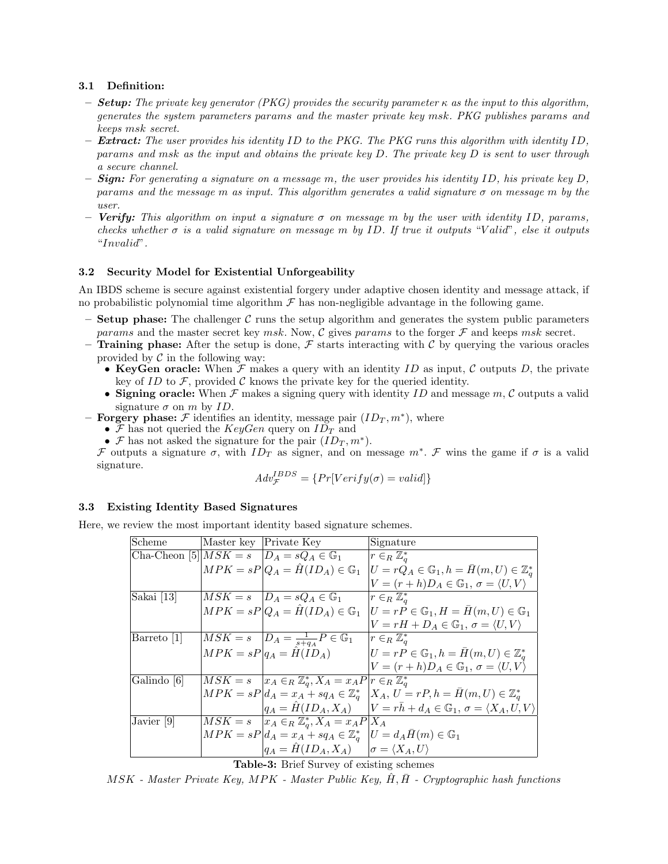### 3.1 Definition:

- **Setup:** The private key generator (PKG) provides the security parameter  $\kappa$  as the input to this algorithm, generates the system parameters params and the master private key msk. PKG publishes params and keeps msk secret.
- $-$  Extract: The user provides his identity ID to the PKG. The PKG runs this algorithm with identity ID, params and msk as the input and obtains the private key D. The private key D is sent to user through a secure channel.
- $-$  Sign: For generating a signature on a message m, the user provides his identity ID, his private key D, params and the message m as input. This algorithm generates a valid signature  $\sigma$  on message m by the user.
- Verify: This algorithm on input a signature  $\sigma$  on message m by the user with identity ID, params, checks whether  $\sigma$  is a valid signature on message m by ID. If true it outputs "Valid", else it outputs "Invalid".

### 3.2 Security Model for Existential Unforgeability

An IBDS scheme is secure against existential forgery under adaptive chosen identity and message attack, if no probabilistic polynomial time algorithm  $\mathcal F$  has non-negligible advantage in the following game.

- Setup phase: The challenger  $\mathcal C$  runs the setup algorithm and generates the system public parameters params and the master secret key msk. Now, C gives params to the forger  $\mathcal F$  and keeps msk secret.
- **Training phase:** After the setup is done,  $\mathcal F$  starts interacting with  $\mathcal C$  by querying the various oracles provided by  $\mathcal C$  in the following way:
	- KeyGen oracle: When  $\mathcal F$  makes a query with an identity ID as input, C outputs D, the private key of ID to  $\mathcal{F}$ , provided C knows the private key for the queried identity.
	- Signing oracle: When  $\mathcal F$  makes a signing query with identity ID and message  $m, \mathcal C$  outputs a valid signature  $\sigma$  on m by ID.
- **Forgery phase:**  $\mathcal F$  identifies an identity, message pair  $(ID_T, m^*)$ , where
	- $\mathcal F$  has not queried the *KeyGen* query on  $ID_T$  and
	- $\mathcal F$  has not asked the signature for the pair  $(ID_T, m^*).$

F outputs a signature  $\sigma$ , with  $ID_T$  as signer, and on message  $m^*$ . F wins the game if  $\sigma$  is a valid signature.

$$
Adv_{\mathcal{F}}^{IBDS} = \{Pr[Verify(\sigma) = valid]\}
$$

# 3.3 Existing Identity Based Signatures

Here, we review the most important identity based signature schemes.

| Scheme      | Master key | Private Key                                                                     | Signature                                                                                                   |
|-------------|------------|---------------------------------------------------------------------------------|-------------------------------------------------------------------------------------------------------------|
|             |            | Cha-Cheon [5] $MSK = s$ $D_A = sQ_A \in \mathbb{G}_1$                           | $ r \in_R \mathbb{Z}_a^*$                                                                                   |
|             |            | $MPK = sP Q_A = \hat{H}(ID_A) \in \mathbb{G}_1$                                 | $ U = rQ_A \in \mathbb{G}_1, h = H(m, U) \in \mathbb{Z}_q^*$                                                |
|             |            |                                                                                 | $V = (r + h)D_A \in \mathbb{G}_1, \sigma = \langle U, V \rangle$                                            |
| Sakai [13]  |            | $MSK = s$ $ D_A = sQ_A \in \mathbb{G}_1$                                        | $ r \in_R \mathbb{Z}_q^*$                                                                                   |
|             |            | $MPK = sP Q_A = \hat{H}(ID_A) \in \mathbb{G}_1$                                 | $ U = rP \in \mathbb{G}_1, H = H(m, U) \in \mathbb{G}_1$                                                    |
|             |            |                                                                                 | $V = rH + D_A \in \mathbb{G}_1, \sigma = \langle U, V \rangle$                                              |
| Barreto [1] |            | $MSK = s$ $D_A = \frac{1}{s+q_A}P \in \mathbb{G}_1$                             | $ r \in_R \mathbb{Z}_a^*$                                                                                   |
|             |            | $MPK = sP q_A = H(ID_A)$                                                        | $U = rP \in \mathbb{G}_1, h = H(m, U) \in \mathbb{Z}_q^*$                                                   |
|             |            |                                                                                 | $V = (r + h)D_A \in \mathbb{G}_1, \sigma = \langle U, V \rangle$                                            |
| Galindo [6] |            | $MSK = s \quad  x_A \in_R \mathbb{Z}_q^*, X_A = x_A P   r \in_R \mathbb{Z}_q^*$ |                                                                                                             |
|             |            | $MPK = sP d_A = x_A + sq_A \in \mathbb{Z}_q^*$                                  | $X_A, U = rP, h = H(m, U) \in \mathbb{Z}_q^*$                                                               |
|             |            |                                                                                 | $ q_A = \hat{H}(ID_A, X_A)$ $ V = r\overline{h} + d_A \in \mathbb{G}_1, \sigma = \langle X_A, U, V \rangle$ |
| Javier [9]  |            | $MSK = s \quad  x_A \in_R \mathbb{Z}_q^*, X_A = x_A P   X_A$                    |                                                                                                             |
|             |            | $MPK = sP d_A = x_A + sq_A \in \mathbb{Z}_q^*$                                  | $ U=d_A H(m) \in \mathbb{G}_1$                                                                              |
|             |            | $ q_A = \hat{H}(ID_A, X_A)$ $ \sigma = \langle X_A, U \rangle$                  |                                                                                                             |

Table-3: Brief Survey of existing schemes

 $MSK$  - Master Private Key, MPK - Master Public Key,  $\hat{H}$ ,  $\overline{H}$  - Cryptographic hash functions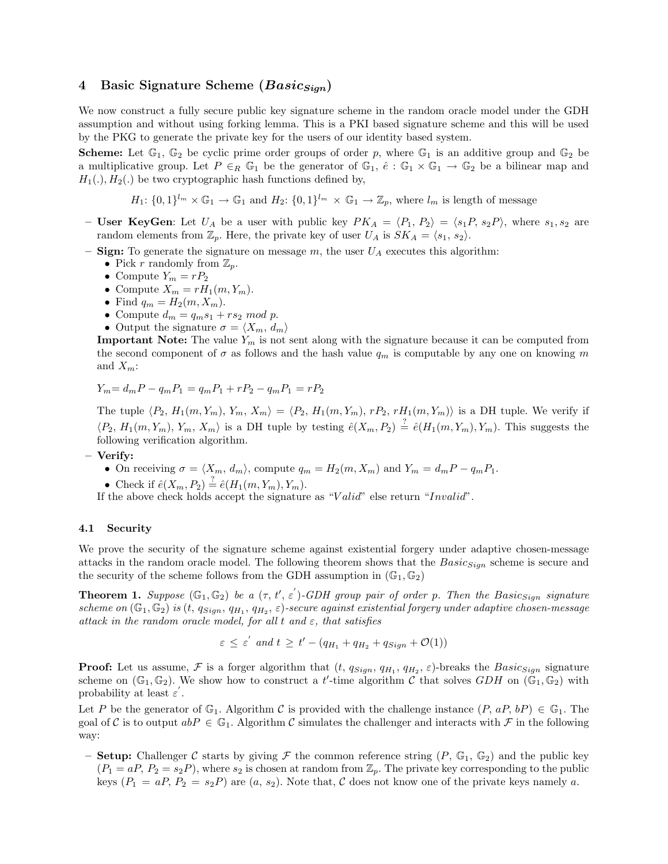# 4 Basic Signature Scheme  $(Basic_{Sign})$

We now construct a fully secure public key signature scheme in the random oracle model under the GDH assumption and without using forking lemma. This is a PKI based signature scheme and this will be used by the PKG to generate the private key for the users of our identity based system.

**Scheme:** Let  $\mathbb{G}_1$ ,  $\mathbb{G}_2$  be cyclic prime order groups of order p, where  $\mathbb{G}_1$  is an additive group and  $\mathbb{G}_2$  be a multiplicative group. Let  $P \in_R \mathbb{G}_1$  be the generator of  $\mathbb{G}_1$ ,  $\hat{e} : \mathbb{G}_1 \times \mathbb{G}_1 \to \mathbb{G}_2$  be a bilinear map and  $H_1(.)$ ,  $H_2(.)$  be two cryptographic hash functions defined by,

$$
H_1
$$
: {0,1}<sup>l<sub>m</sub></sup> ×  $\mathbb{G}_1$  →  $\mathbb{G}_1$  and  $H_2$ : {0,1}<sup>l<sub>m</sub></sup> ×  $\mathbb{G}_1$  →  $\mathbb{Z}_p$ , where  $l_m$  is length of message

– User KeyGen: Let  $U_A$  be a user with public key  $PK_A = \langle P_1, P_2 \rangle = \langle s_1P, s_2P \rangle$ , where  $s_1, s_2$  are random elements from  $\mathbb{Z}_p$ . Here, the private key of user  $U_A$  is  $SK_A = \langle s_1, s_2 \rangle$ .

– Sign: To generate the signature on message  $m$ , the user  $U_A$  executes this algorithm:

- Pick r randomly from  $\mathbb{Z}_p$ .
- Compute  $Y_m = rP_2$
- Compute  $X_m = rH_1(m, Y_m)$ .
- Find  $q_m = H_2(m, X_m)$ .
- Compute  $d_m = q_m s_1 + rs_2 \mod p$ .
- Output the signature  $\sigma = \langle X_m, d_m \rangle$

**Important Note:** The value  $Y_m$  is not sent along with the signature because it can be computed from the second component of  $\sigma$  as follows and the hash value  $q_m$  is computable by any one on knowing m and  $X_m$ :

$$
Y_m = d_m P - q_m P_1 = q_m P_1 + r P_2 - q_m P_1 = r P_2
$$

The tuple  $\langle P_2, H_1(m, Y_m), Y_m, X_m \rangle = \langle P_2, H_1(m, Y_m), rP_2, rH_1(m, Y_m) \rangle$  is a DH tuple. We verify if  $\langle P_2, H_1(m, Y_m), Y_m, X_m \rangle$  is a DH tuple by testing  $\hat{e}(X_m, P_2) \stackrel{?}{=} \hat{e}(H_1(m, Y_m), Y_m)$ . This suggests the following verification algorithm.

- Verify:
	- On receiving  $\sigma = \langle X_m, d_m \rangle$ , compute  $q_m = H_2(m, X_m)$  and  $Y_m = d_m P q_m P_1$ .
	- Check if  $\hat{e}(X_m, P_2) \stackrel{?}{=} \hat{e}(H_1(m, Y_m), Y_m)$ .

If the above check holds accept the signature as "Valid" else return "Invalid".

#### 4.1 Security

We prove the security of the signature scheme against existential forgery under adaptive chosen-message attacks in the random oracle model. The following theorem shows that the  $Basic_{Sign}$  scheme is secure and the security of the scheme follows from the GDH assumption in  $(\mathbb{G}_1, \mathbb{G}_2)$ 

**Theorem 1.** Suppose  $(\mathbb{G}_1, \mathbb{G}_2)$  be a  $(\tau, t', \varepsilon')$ -GDH group pair of order p. Then the Basic<sub>Sign</sub> signature scheme on  $(\mathbb{G}_1,\mathbb{G}_2)$  is  $(t, q_{Sign}, q_{H_1}, q_{H_2}, \varepsilon)$ -secure against existential forgery under adaptive chosen-message attack in the random oracle model, for all t and  $\varepsilon$ , that satisfies

$$
\varepsilon \leq \varepsilon' \text{ and } t \geq t' - (q_{H_1} + q_{H_2} + q_{Sign} + \mathcal{O}(1))
$$

**Proof:** Let us assume, F is a forger algorithm that  $(t, q_{Sign}, q_{H_1}, q_{H_2}, \varepsilon)$ -breaks the  $BasicSign$  signature scheme on  $(\mathbb{G}_1, \mathbb{G}_2)$ . We show how to construct a t'-time algorithm C that solves GDH on  $(\mathbb{G}_1, \mathbb{G}_2)$  with probability at least  $\varepsilon'$ .

Let P be the generator of  $\mathbb{G}_1$ . Algorithm C is provided with the challenge instance  $(P, aP, bP) \in \mathbb{G}_1$ . The goal of C is to output  $abP \in \mathbb{G}_1$ . Algorithm C simulates the challenger and interacts with F in the following way:

– **Setup:** Challenger C starts by giving F the common reference string  $(P, \mathbb{G}_1, \mathbb{G}_2)$  and the public key  $(P_1 = aP, P_2 = s_2P)$ , where  $s_2$  is chosen at random from  $\mathbb{Z}_p$ . The private key corresponding to the public keys  $(P_1 = aP, P_2 = s_2P)$  are  $(a, s_2)$ . Note that, C does not know one of the private keys namely a.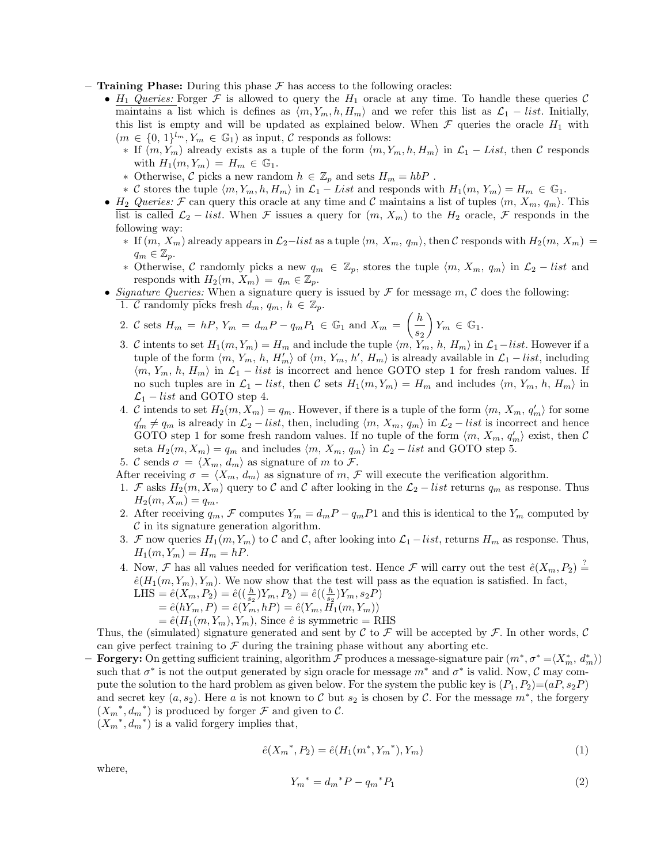– **Training Phase:** During this phase  $\mathcal F$  has access to the following oracles:

- H<sub>1</sub> Queries: Forger F is allowed to query the H<sub>1</sub> oracle at any time. To handle these queries C maintains a list which is defines as  $\langle m, Y_m, h, H_m \rangle$  and we refer this list as  $\mathcal{L}_1 - list$ . Initially, this list is empty and will be updated as explained below. When  $\mathcal F$  queries the oracle  $H_1$  with  $(m \in \{0, 1\}^{l_m}, Y_m \in \mathbb{G}_1)$  as input, C responds as follows:
	- ∗ If  $(m, Y_m)$  already exists as a tuple of the form  $\langle m, Y_m, h, H_m \rangle$  in  $\mathcal{L}_1 List$ , then C responds with  $H_1(m, Y_m) = H_m \in \mathbb{G}_1$ .
	- ∗ Otherwise,  $C$  picks a new random  $h \in \mathbb{Z}_p$  and sets  $H_m = h bP$ .
	- ∗ C stores the tuple  $\langle m, Y_m, h, H_m \rangle$  in  $\mathcal{L}_1 List$  and responds with  $H_1(m, Y_m) = H_m \in \mathbb{G}_1$ .
- H<sub>2</sub> Queries: F can query this oracle at any time and C maintains a list of tuples  $\langle m, X_m, q_m \rangle$ . This list is called  $\mathcal{L}_2 - list$ . When F issues a query for  $(m, X_m)$  to the  $H_2$  oracle, F responds in the following way:
	- $*$  If  $(m, X_m)$  already appears in  $\mathcal{L}_2-list$  as a tuple  $\langle m, X_m, q_m \rangle$ , then C responds with  $H_2(m, X_m)$  =  $q_m \in \mathbb{Z}_p$ .
	- ∗ Otherwise, C randomly picks a new  $q_m \text{ } \in \mathbb{Z}_p$ , stores the tuple  $\langle m, X_m, q_m \rangle$  in  $\mathcal{L}_2$  list and responds with  $H_2(m, X_m) = q_m \in \mathbb{Z}_p$ .
- Signature Queries: When a signature query is issued by  $\mathcal F$  for message  $m, \mathcal C$  does the following: 1. C randomly picks fresh  $d_m, q_m, h \in \mathbb{Z}_p$ .

2. 
$$
\mathcal C
$$
 sets  $H_m = hP$ ,  $Y_m = d_m P - q_m P_1 \in \mathbb{G}_1$  and  $X_m = \left(\frac{h}{s_2}\right) Y_m \in \mathbb{G}_1$ .

- 3. C intents to set  $H_1(m, Y_m) = H_m$  and include the tuple  $\langle m, Y_m, h, H_m \rangle$  in  $\mathcal{L}_1 list$ . However if a tuple of the form  $\langle m, Y_m, h, H'_m \rangle$  of  $\langle m, Y_m, h', H_m \rangle$  is already available in  $\mathcal{L}_1$  – list, including  $\langle m, Y_m, h, H_m \rangle$  in  $\mathcal{L}_1$  – list is incorrect and hence GOTO step 1 for fresh random values. If no such tuples are in  $\mathcal{L}_1 - list$ , then C sets  $H_1(m, Y_m) = H_m$  and includes  $\langle m, Y_m, h, H_m \rangle$  in  $\mathcal{L}_1$  – list and GOTO step 4.
- 4. C intends to set  $H_2(m, X_m) = q_m$ . However, if there is a tuple of the form  $\langle m, X_m, q'_m \rangle$  for some  $q'_m \neq q_m$  is already in  $\mathcal{L}_2 - list$ , then, including  $\langle m, X_m, q_m \rangle$  in  $\mathcal{L}_2 - list$  is incorrect and hence GOTO step 1 for some fresh random values. If no tuple of the form  $\langle m, X_m, q'_m \rangle$  exist, then C seta  $H_2(m, X_m) = q_m$  and includes  $\langle m, X_m, q_m \rangle$  in  $\mathcal{L}_2 - list$  and GOTO step 5.
- 5. C sends  $\sigma = \langle X_m, d_m \rangle$  as signature of m to F.
- After receiving  $\sigma = \langle X_m, d_m \rangle$  as signature of m, F will execute the verification algorithm.
- 1. F asks  $H_2(m, X_m)$  query to C and C after looking in the  $\mathcal{L}_2$  list returns  $q_m$  as response. Thus  $H_2(m, X_m) = q_m.$
- 2. After receiving  $q_m$ , F computes  $Y_m = d_m P q_m P1$  and this is identical to the  $Y_m$  computed by  $\mathcal C$  in its signature generation algorithm.
- 3. F now queries  $H_1(m, Y_m)$  to C and C, after looking into  $\mathcal{L}_1 list$ , returns  $H_m$  as response. Thus,  $H_1(m, Y_m) = H_m = hP.$
- 4. Now, F has all values needed for verification test. Hence F will carry out the test  $\hat{e}(X_m, P_2) \stackrel{?}{=}$  $\hat{e}(H_1(m, Y_m), Y_m)$ . We now show that the test will pass as the equation is satisfied. In fact,

LHS = 
$$
\hat{e}(X_m, P_2) = \hat{e}((\frac{h}{s_2})Y_m, P_2) = \hat{e}((\frac{h}{s_2})Y_m, s_2P)
$$
  
\n=  $\hat{e}(hY_m, P) = \hat{e}(Y_m, hP) = \hat{e}(Y_m, H_1(m, Y_m))$   
\n=  $\hat{e}(H_1(m, Y_m), Y_m)$ , Since  $\hat{e}$  is symmetric = RHS

Thus, the (simulated) signature generated and sent by C to F will be accepted by F. In other words, C

can give perfect training to  $\mathcal F$  during the training phase without any aborting etc. **Forgery:** On getting sufficient training, algorithm  $\mathcal F$  produces a message-signature pair  $(m^*, \sigma^* = \langle X_m^*, d_m^* \rangle)$ such that  $\sigma^*$  is not the output generated by sign oracle for message  $m^*$  and  $\sigma^*$  is valid. Now,  $\mathcal C$  may compute the solution to the hard problem as given below. For the system the public key is  $(P_1, P_2)=(aP, s_2P)$ and secret key  $(a, s_2)$ . Here a is not known to C but  $s_2$  is chosen by C. For the message  $m^*$ , the forgery  $(X_m^*, d_m^*)$  is produced by forger  $\mathcal F$  and given to  $\mathcal C$ .

 $(X_m^*, d_m^*)$  is a valid forgery implies that,

$$
\hat{e}(X_m^*, P_2) = \hat{e}(H_1(m^*, Y_m^*), Y_m)
$$
\n(1)

where,

$$
Y_m^* = d_m^* P - q_m^* P_1 \tag{2}
$$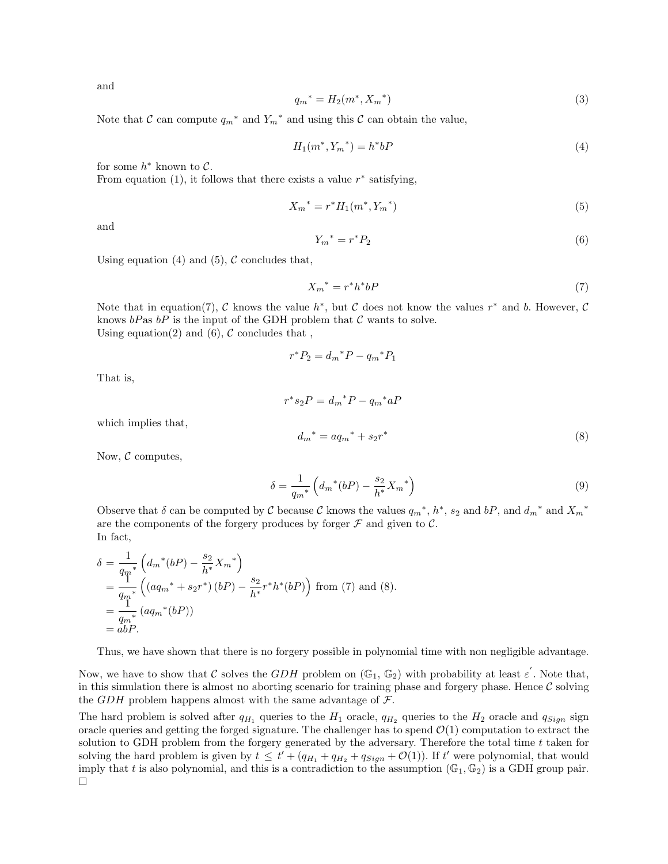and

$$
q_m^* = H_2(m^*, X_m^*)
$$
 (3)

Note that  $\mathcal C$  can compute  $q_m^*$  and  $Y_m^*$  and using this  $\mathcal C$  can obtain the value,

$$
H_1(m^*, Y_m^*) = h^*bP
$$
\n(4)

for some  $h^*$  known to  $\mathcal{C}$ .

From equation  $(1)$ , it follows that there exists a value  $r^*$  satisfying,

$$
X_m^* = r^* H_1(m^*, Y_m^*)
$$
\n(5)

and

$$
Y_m^* = r^* P_2 \tag{6}
$$

Using equation (4) and (5),  $\mathcal C$  concludes that,

$$
X_m^* = r^* h^* b P \tag{7}
$$

Note that in equation(7), C knows the value  $h^*$ , but C does not know the values  $r^*$  and b. However, C knows  $bP$  as  $bP$  is the input of the GDH problem that C wants to solve. Using equation(2) and (6),  $\mathcal C$  concludes that,

$$
r^*P_2 = d_m^*P - q_m^*P_1
$$

That is,

$$
r^*s_2P = d_m^*P - q_m^*aP
$$
  

$$
d_m^* = aq_m^* + s_2r^*
$$
 (8)

Now,  $\mathcal C$  computes,

which implies that,

$$
\delta = \frac{1}{q_m^*} \left( d_m^*(bP) - \frac{s_2}{h^*} X_m^* \right) \tag{9}
$$

Observe that  $\delta$  can be computed by C because C knows the values  $q_m^*, h^*, s_2$  and  $bP$ , and  $d_m^*$  and  $X_m^*$ are the components of the forgery produces by forger  $\mathcal F$  and given to  $\mathcal C$ . In fact,

$$
\delta = \frac{1}{q_m^*} \left( d_m^*(bP) - \frac{s_2}{h^*} X_m^* \right)
$$
  
=  $\frac{1}{q_m^*} \left( (aq_m^* + s_2r^*) (bP) - \frac{s_2}{h^*} r^* h^*(bP) \right)$  from (7) and (8).  
=  $\frac{1}{q_m^*} (aq_m^*(bP))$   
=  $abP$ .

Thus, we have shown that there is no forgery possible in polynomial time with non negligible advantage.

Now, we have to show that C solves the GDH problem on  $(\mathbb{G}_1, \mathbb{G}_2)$  with probability at least  $\varepsilon'$ . Note that, in this simulation there is almost no aborting scenario for training phase and forgery phase. Hence  $\mathcal C$  solving the  $GDH$  problem happens almost with the same advantage of  $\mathcal{F}$ .

The hard problem is solved after  $q_{H_1}$  queries to the  $H_1$  oracle,  $q_{H_2}$  queries to the  $H_2$  oracle and  $q_{Sign}$  sign oracle queries and getting the forged signature. The challenger has to spend  $\mathcal{O}(1)$  computation to extract the solution to GDH problem from the forgery generated by the adversary. Therefore the total time  $t$  taken for solving the hard problem is given by  $t \leq t' + (q_{H_1} + q_{H_2} + q_{Sign} + \mathcal{O}(1))$ . If t' were polynomial, that would imply that t is also polynomial, and this is a contradiction to the assumption  $(\mathbb{G}_1, \mathbb{G}_2)$  is a GDH group pair.  $\Box$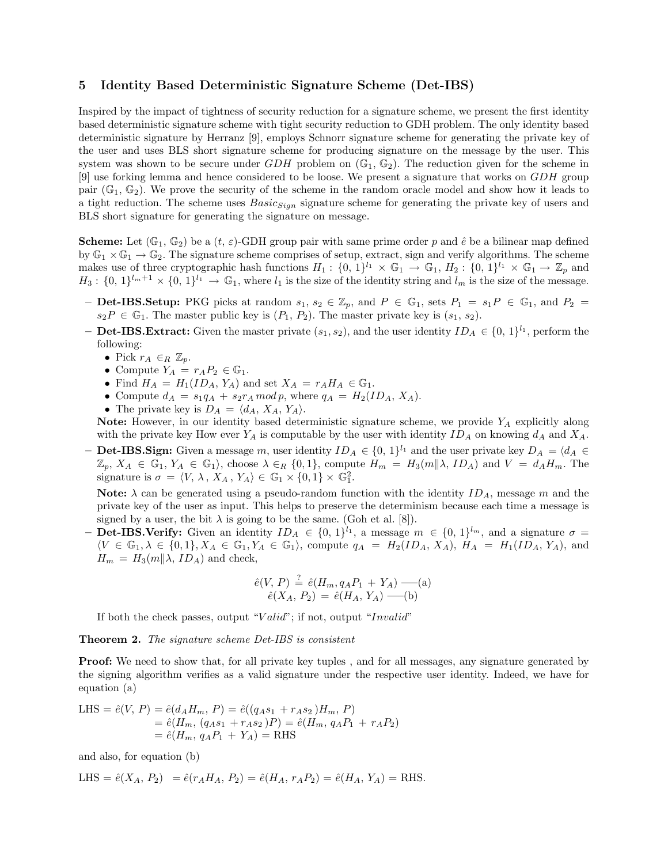# 5 Identity Based Deterministic Signature Scheme (Det-IBS)

Inspired by the impact of tightness of security reduction for a signature scheme, we present the first identity based deterministic signature scheme with tight security reduction to GDH problem. The only identity based deterministic signature by Herranz [9], employs Schnorr signature scheme for generating the private key of the user and uses BLS short signature scheme for producing signature on the message by the user. This system was shown to be secure under  $GDH$  problem on  $(\mathbb{G}_1, \mathbb{G}_2)$ . The reduction given for the scheme in [9] use forking lemma and hence considered to be loose. We present a signature that works on GDH group pair  $(\mathbb{G}_1, \mathbb{G}_2)$ . We prove the security of the scheme in the random oracle model and show how it leads to a tight reduction. The scheme uses  $Basis_{Sign}$  signature scheme for generating the private key of users and BLS short signature for generating the signature on message.

**Scheme:** Let  $(\mathbb{G}_1, \mathbb{G}_2)$  be a  $(t, \varepsilon)$ -GDH group pair with same prime order p and  $\hat{e}$  be a bilinear map defined by  $\mathbb{G}_1 \times \mathbb{G}_1 \to \mathbb{G}_2$ . The signature scheme comprises of setup, extract, sign and verify algorithms. The scheme makes use of three cryptographic hash functions  $H_1: \{0, 1\}^{l_1} \times \mathbb{G}_1 \to \mathbb{G}_1$ ,  $H_2: \{0, 1\}^{l_1} \times \mathbb{G}_1 \to \mathbb{Z}_p$  and  $H_3: \{0,1\}^{l_m+1} \times \{0,1\}^{l_1} \to \mathbb{G}_1$ , where  $l_1$  is the size of the identity string and  $l_m$  is the size of the message.

- **Det-IBS.Setup:** PKG picks at random  $s_1, s_2 \in \mathbb{Z}_p$ , and  $P \in \mathbb{G}_1$ , sets  $P_1 = s_1 P \in \mathbb{G}_1$ , and  $P_2 =$  $s_2P \in \mathbb{G}_1$ . The master public key is  $(P_1, P_2)$ . The master private key is  $(s_1, s_2)$ .
- **Det-IBS. Extract:** Given the master private  $(s_1, s_2)$ , and the user identity  $ID_A \in \{0, 1\}^{l_1}$ , perform the following:
	- Pick  $r_A \in_R \mathbb{Z}_p$ .
	- Compute  $Y_A = r_A P_2 \in \mathbb{G}_1$ .
	- Find  $H_A = H_1(ID_A, Y_A)$  and set  $X_A = r_A H_A \in \mathbb{G}_1$ .
	- Compute  $d_A = s_1q_A + s_2r_A \mod p$ , where  $q_A = H_2(ID_A, X_A)$ .
	- The private key is  $D_A = \langle d_A, X_A, Y_A \rangle$ .

Note: However, in our identity based deterministic signature scheme, we provide  $Y_A$  explicitly along with the private key How ever  $Y_A$  is computable by the user with identity  $ID_A$  on knowing  $d_A$  and  $X_A$ .

**– Det-IBS. Sign:** Given a message m, user identity  $ID_A \in \{0, 1\}^{l_1}$  and the user private key  $D_A = \langle d_A \in$  $\mathbb{Z}_p$ ,  $X_A \in \mathbb{G}_1$ ,  $Y_A \in \mathbb{G}_1$ , choose  $\lambda \in_R \{0,1\}$ , compute  $H_m = H_3(m||\lambda, ID_A)$  and  $V = d_A H_m$ . The signature is  $\sigma = \langle V, \lambda, X_A, Y_A \rangle \in \mathbb{G}_1 \times \{0, 1\} \times \mathbb{G}_1^2$ .

Note:  $\lambda$  can be generated using a pseudo-random function with the identity  $ID<sub>A</sub>$ , message m and the private key of the user as input. This helps to preserve the determinism because each time a message is signed by a user, the bit  $\lambda$  is going to be the same. (Goh et al. [8]).

**- Det-IBS. Verify:** Given an identity  $ID_A \in \{0, 1\}^{l_1}$ , a message  $m \in \{0, 1\}^{l_m}$ , and a signature  $\sigma$  =  $\langle V \in \mathbb{G}_1, \lambda \in \{0,1\}, X_A \in \mathbb{G}_1, Y_A \in \mathbb{G}_1 \rangle$ , compute  $q_A = H_2(ID_A, X_A), H_A = H_1(ID_A, Y_A),$  and  $H_m = H_3(m||\lambda, ID_A)$  and check,

$$
\hat{e}(V, P) \stackrel{?}{=} \hat{e}(H_m, q_A P_1 + Y_A) \text{---}(a) \n\hat{e}(X_A, P_2) = \hat{e}(H_A, Y_A) \text{---}(b)
$$

If both the check passes, output " $Valid$ "; if not, output "Invalid"

Theorem 2. The signature scheme Det-IBS is consistent

**Proof:** We need to show that, for all private key tuples, and for all messages, any signature generated by the signing algorithm verifies as a valid signature under the respective user identity. Indeed, we have for equation (a)

LHS = ˆe(V, P) = ˆe(dAHm, P) = ˆe((qAs<sup>1</sup> + rAs<sup>2</sup> )Hm, P) = ˆe(Hm, (qAs<sup>1</sup> + rAs<sup>2</sup> )P) = ˆe(Hm, qAP<sup>1</sup> + rAP2) = ˆe(Hm, qAP<sup>1</sup> + YA) = RHS

and also, for equation (b)

LHS = 
$$
\hat{e}(X_A, P_2) = \hat{e}(r_A H_A, P_2) = \hat{e}(H_A, r_A P_2) = \hat{e}(H_A, Y_A) =
$$
RHS.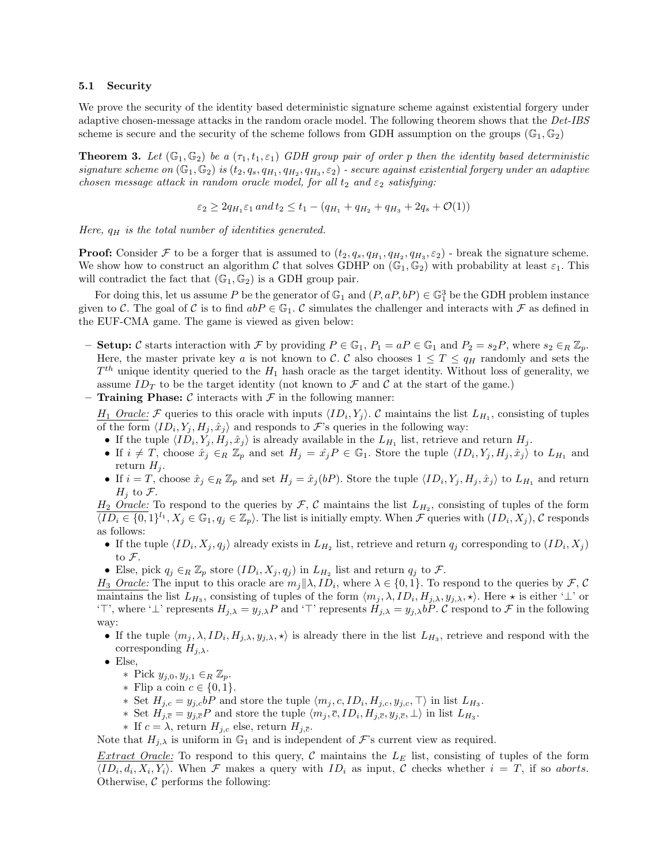#### 5.1 Security

We prove the security of the identity based deterministic signature scheme against existential forgery under adaptive chosen-message attacks in the random oracle model. The following theorem shows that the Det-IBS scheme is secure and the security of the scheme follows from GDH assumption on the groups ( $\mathbb{G}_1, \mathbb{G}_2$ )

**Theorem 3.** Let  $(\mathbb{G}_1, \mathbb{G}_2)$  be a  $(\tau_1, t_1, \varepsilon_1)$  GDH group pair of order p then the identity based deterministic  $signature\ scheme\ on\ (\mathbb{G}_1,\mathbb{G}_2)\ is\ (t_2,q_s,q_{H_1},q_{H_2},q_{H_3},\varepsilon_2)\ -\ secure\ against\ existential\ forgery\ under\ an\ adaptive\$ chosen message attack in random oracle model, for all  $t_2$  and  $\varepsilon_2$  satisfying:

$$
\varepsilon_2 \ge 2q_{H_1} \varepsilon_1 \text{ and } t_2 \le t_1 - (q_{H_1} + q_{H_2} + q_{H_3} + 2q_s + \mathcal{O}(1))
$$

Here,  $q_H$  is the total number of identities generated.

**Proof:** Consider F to be a forger that is assumed to  $(t_2, q_s, q_{H_1}, q_{H_2}, q_{H_3}, \varepsilon_2)$  - break the signature scheme. We show how to construct an algorithm C that solves GDHP on  $(\mathbb{G}_1, \mathbb{G}_2)$  with probability at least  $\varepsilon_1$ . This will contradict the fact that  $(\mathbb{G}_1, \mathbb{G}_2)$  is a GDH group pair.

For doing this, let us assume P be the generator of  $\mathbb{G}_1$  and  $(P, aP, bP) \in \mathbb{G}_1^3$  be the GDH problem instance given to C. The goal of C is to find  $abP \in \mathbb{G}_1$ . C simulates the challenger and interacts with F as defined in the EUF-CMA game. The game is viewed as given below:

- **Setup:** C starts interaction with F by providing  $P \in \mathbb{G}_1$ ,  $P_1 = aP \in \mathbb{G}_1$  and  $P_2 = s_2P$ , where  $s_2 \in_R \mathbb{Z}_p$ . Here, the master private key a is not known to C. C also chooses  $1 \leq T \leq q_H$  randomly and sets the  $T<sup>th</sup>$  unique identity queried to the  $H_1$  hash oracle as the target identity. Without loss of generality, we assume  $ID_T$  to be the target identity (not known to  $\mathcal F$  and  $\mathcal C$  at the start of the game.)
- **Training Phase:**  $\mathcal C$  interacts with  $\mathcal F$  in the following manner:

 $H_1$  Oracle: F queries to this oracle with inputs  $\langle ID_i, Y_j \rangle$ . C maintains the list  $L_{H_1}$ , consisting of tuples of the form  $\langle ID_i, Y_j, H_j, \hat{x}_j \rangle$  and responds to F's queries in the following way:

- If the tuple  $\langle ID_i, Y_j, H_j, \hat{x}_j \rangle$  is already available in the  $L_{H_1}$  list, retrieve and return  $H_j$ .
- If  $i \neq T$ , choose  $\hat{x}_j \in_R \mathbb{Z}_p$  and set  $H_j = \hat{x}_j P \in \mathbb{G}_1$ . Store the tuple  $\langle ID_i, Y_j, H_j, \hat{x}_j \rangle$  to  $L_{H_1}$  and return  $H_i$ .
- If  $i = T$ , choose  $\hat{x}_j \in_R \mathbb{Z}_p$  and set  $H_j = \hat{x}_j(bP)$ . Store the tuple  $\langle ID_i, Y_j, H_j, \hat{x}_j \rangle$  to  $L_{H_1}$  and return  $H_j$  to  $\mathcal{F}.$

 $H_2$  Oracle: To respond to the queries by F, C maintains the list  $L_{H_2}$ , consisting of tuples of the form  $\overline{\langle ID_i \in \{0,1\}^{l_1}}, X_j \in \mathbb{G}_1, q_j \in \mathbb{Z}_p$ . The list is initially empty. When  $\mathcal{F}$  queries with  $(ID_i, X_j)$ ,  $\mathcal{C}$  responds as follows:

- If the tuple  $\langle ID_i, X_j, q_j \rangle$  already exists in  $L_{H_2}$  list, retrieve and return  $q_j$  corresponding to  $(ID_i, X_j)$ to  $\mathcal{F}.$
- Else, pick  $q_j \in_R \mathbb{Z}_p$  store  $(ID_i, X_j, q_j)$  in  $L_{H_2}$  list and return  $q_j$  to  $\mathcal{F}$ .

 $H_3$  Oracle: The input to this oracle are  $m_j ||\lambda, ID_i$ , where  $\lambda \in \{0,1\}$ . To respond to the queries by F, C maintains the list  $L_{H_3}$ , consisting of tuples of the form  $\langle m_j, \lambda, ID_i, H_{j,\lambda}, y_{j,\lambda}, \star \rangle$ . Here  $\star$  is either ' $\perp$ ' or ' $\top$ ', where ' $\bot$ ' represents  $H_{j,\lambda} = y_{j,\lambda}P$  and ' $\top$ ' represents  $H_{j,\lambda} = y_{j,\lambda}bP$ . C respond to  $\mathcal F$  in the following way:

- If the tuple  $\langle m_j, \lambda, ID_i, H_{j,\lambda}, y_{j,\lambda}, \star \rangle$  is already there in the list  $L_{H_3}$ , retrieve and respond with the corresponding  $H_{i,\lambda}$ .
- Else,
	- ∗ Pick yj,0, yj,<sup>1</sup> ∈<sup>R</sup> Zp.
	- ∗ Flip a coin c ∈ {0, 1}.
	- \* Set  $H_{j,c} = y_{j,c}bP$  and store the tuple  $\langle m_j, c, ID_i, H_{j,c}, y_{j,c}, \top \rangle$  in list  $L_{H_3}$ .
	- \* Set  $H_{j,\overline{c}} = y_{j,\overline{c}}P$  and store the tuple  $\langle m_j, \overline{c}, ID_i, H_{j,\overline{c}}, y_{j,\overline{c}}, \perp \rangle$  in list  $L_{H_3}$ .
	- ∗ If  $c = \lambda$ , return  $H_{j,c}$  else, return  $H_{j,\overline{c}}$ .

Note that  $H_{j,\lambda}$  is uniform in  $\mathbb{G}_1$  and is independent of  $\mathcal{F}$ 's current view as required.

Extract Oracle: To respond to this query,  $\mathcal C$  maintains the  $L_E$  list, consisting of tuples of the form  $\langle ID_i, d_i, X_i, Y_i \rangle$ . When F makes a query with  $ID_i$  as input, C checks whether  $i = T$ , if so aborts. Otherwise,  $C$  performs the following: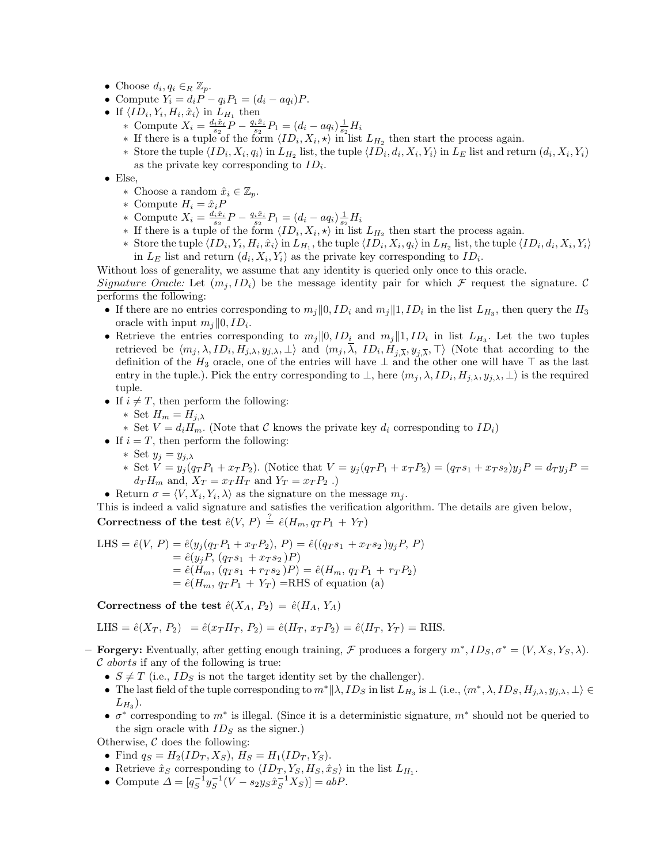- Choose  $d_i, q_i \in_R \mathbb{Z}_p$ .
- Compute  $Y_i = d_i P q_i P_1 = (d_i a q_i) P$ .
- If  $\langle ID_i, Y_i, H_i, \hat{x}_i \rangle$  in  $L_{H_1}$  then
	- \* Compute  $X_i = \frac{d_i \hat{x}_i}{s_2} P \frac{q_i \hat{x}_i}{s_2} P_1 = (d_i aq_i) \frac{1}{s_2} H_i$
	- ∗ If there is a tuple of the form  $\langle ID_i, X_i, \star \rangle$  in list  $L_{H_2}$  then start the process again.
	- \* Store the tuple  $\langle ID_i, X_i, q_i \rangle$  in  $L_{H_2}$  list, the tuple  $\langle ID_i, d_i, X_i, Y_i \rangle$  in  $L_E$  list and return  $(d_i, X_i, Y_i)$ as the private key corresponding to  $ID_i$ .
- Else,
	- ∗ Choose a random  $\hat{x}_i \in \mathbb{Z}_p$ .
	- ∗ Compute  $H_i = \hat{x}_i P$
	- \* Compute  $X_i = \frac{d_i \hat{x}_i}{s_2} P \frac{q_i \hat{x}_i}{s_2} P_1 = (d_i aq_i) \frac{1}{s_2} H_i$
	- ∗ If there is a tuple of the form  $\langle ID_i, X_i, \star \rangle$  in list  $L_{H_2}$  then start the process again.
	- \* Store the tuple  $\langle ID_i, Y_i, H_i, \hat{x}_i \rangle$  in  $L_{H_1}$ , the tuple  $\langle ID_i, X_i, q_i \rangle$  in  $L_{H_2}$  list, the tuple  $\langle ID_i, d_i, X_i, Y_i \rangle$ in  $L_E$  list and return  $(d_i, X_i, Y_i)$  as the private key corresponding to  $ID_i$ .

Without loss of generality, we assume that any identity is queried only once to this oracle.

Signature Oracle: Let  $(m_i, ID_i)$  be the message identity pair for which F request the signature. C performs the following:

- If there are no entries corresponding to  $m_j ||0, ID_i$  and  $m_j ||1, ID_i$  in the list  $L_{H_3}$ , then query the  $H_3$ oracle with input  $m_j || 0, ID_i$ .
- Retrieve the entries corresponding to  $m_j ||0, ID_i$  and  $m_j ||1, ID_i$  in list  $L_{H_3}$ . Let the two tuples retrieved be  $\langle m_j, \lambda, ID_i, H_{j,\lambda}, y_{j,\lambda}, \perp \rangle$  and  $\langle m_j, \overline{\lambda}, ID_i, H_{j,\overline{\lambda}}, y_{j,\overline{\lambda}}, \top \rangle$  (Note that according to the definition of the H<sub>3</sub> oracle, one of the entries will have  $\perp$  and the other one will have  $\top$  as the last entry in the tuple.). Pick the entry corresponding to  $\perp$ , here  $\langle m_j, \lambda, ID_i, H_{j,\lambda}, y_{j,\lambda}, \perp \rangle$  is the required tuple.
- If  $i \neq T$ , then perform the following:
	- ∗ Set H<sup>m</sup> = Hj,λ
	- ∗ Set  $V = d_i H_m$ . (Note that C knows the private key  $d_i$  corresponding to  $ID_i$ )
- If  $i = T$ , then perform the following:
	- ∗ Set y<sup>j</sup> = yj,λ
	- \* Set  $V = y_j (q_T P_1 + x_T P_2)$ . (Notice that  $V = y_j (q_T P_1 + x_T P_2) = (q_T s_1 + x_T s_2) y_j P = d_T y_j P =$  $d_T H_m$  and,  $X_T = x_T H_T$  and  $Y_T = x_T P_2$ .
- Return  $\sigma = \langle V, X_i, Y_i, \lambda \rangle$  as the signature on the message  $m_j$ .

This is indeed a valid signature and satisfies the verification algorithm. The details are given below, Correctness of the test  $\hat{e}(V, P) \stackrel{?}{=} \hat{e}(H_m, q_T P_1 + Y_T)$ 

LHS = 
$$
\hat{e}(V, P) = \hat{e}(y_j(q_T P_1 + x_T P_2), P) = \hat{e}((q_T s_1 + x_T s_2) y_j P, P)
$$
  
\t\t\t\t\t $= \hat{e}(y_j P, (q_T s_1 + x_T s_2) P)$   
\t\t\t\t\t $= \hat{e}(H_m, (q_T s_1 + r_T s_2) P) = \hat{e}(H_m, q_T P_1 + r_T P_2)$   
\t\t\t\t $= \hat{e}(H_m, q_T P_1 + Y_T) =$ RHS of equation (a)

Correctness of the test  $\hat{e}(X_A, P_2) = \hat{e}(H_A, Y_A)$ 

LHS =  $\hat{e}(X_T, P_2) = \hat{e}(x_T H_T, P_2) = \hat{e}(H_T, x_T P_2) = \hat{e}(H_T, Y_T) = \text{RHS}.$ 

- **Forgery:** Eventually, after getting enough training,  $\mathcal{F}$  produces a forgery  $m^*$ ,  $ID_S$ ,  $\sigma^* = (V, X_S, Y_S, \lambda)$ .  $\mathcal C$  aborts if any of the following is true:
	- $S \neq T$  (i.e.,  $ID_S$  is not the target identity set by the challenger).
	- The last field of the tuple corresponding to  $m^* \parallel \lambda$ ,  $ID_S$  in list  $L_{H_3}$  is  $\perp$  (i.e.,  $\langle m^*, \lambda, ID_S, H_{j,\lambda}, y_{j,\lambda}, \perp \rangle \in$  $L_{H_3}$ ).
	- $\sigma^*$  corresponding to  $m^*$  is illegal. (Since it is a deterministic signature,  $m^*$  should not be queried to the sign oracle with  $ID<sub>S</sub>$  as the signer.)

Otherwise,  $\mathcal C$  does the following:

- Find  $q_S = H_2(ID_T, X_S), H_S = H_1(ID_T, Y_S).$
- Retrieve  $\hat{x}_S$  corresponding to  $\langle ID_T, Y_S, H_S, \hat{x}_S \rangle$  in the list  $L_{H_1}$ .
- Compute  $\Delta = [q_S^{-1} y_S^{-1} (V s_2 y_S \hat{x}_S^{-1} X_S)] = abP.$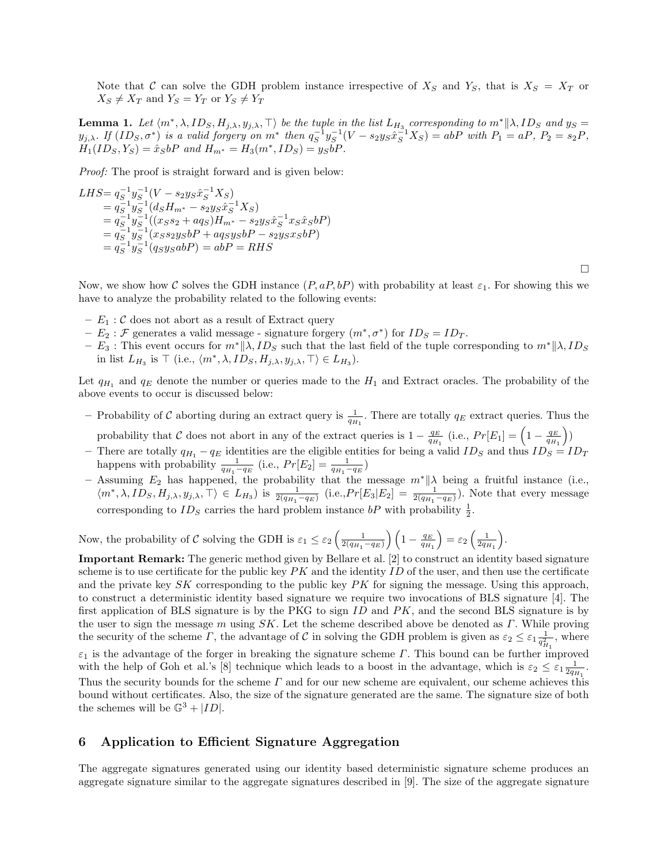Note that C can solve the GDH problem instance irrespective of  $X_S$  and  $Y_S$ , that is  $X_S = X_T$  or  $X_S \neq X_T$  and  $Y_S = Y_T$  or  $Y_S \neq Y_T$ 

**Lemma 1.** Let  $\langle m^*, \lambda, ID_S, H_{j,\lambda}, y_{j,\lambda}, \top \rangle$  be the tuple in the list  $L_{H_3}$  corresponding to  $m^* \|\lambda, ID_S \text{ and } y_S =$  $y_{j,\lambda}$ . If  $(ID_S, \sigma^*)$  is a valid forgery on  $m^*$  then  $q_S^{-1}y_S^{-1}(V - s_2y_S\hat{x}_S^{-1}X_S) = abP$  with  $P_1 = aP, P_2 = s_2P$ ,  $H_1(ID_S, Y_S) = \hat{x}_S bP$  and  $H_{m^*} = H_3(m^*, ID_S) = y_S \tilde{b}P$ .

Proof: The proof is straight forward and is given below:

 $LHS = q_S^{-1} y_S^{-1} (V - s_2 y_S \hat{x}_S^{-1} X_S)$  $= q_S^{-1} y_S^{-1} (d_S H_{m^*} - s_2 y_S \hat{x}_S^{-1} X_S)$  $= q_S^{-1} y_S^{-1}((x_S s_2 + a q_S) H_{m^*} - s_2 y_S \hat{x}_S^{-1} x_S \hat{x}_S bP)$  $=\tilde{q_S}^{-1} y_S^{-1} (x_S s_2 y_S bP + a q_S y_S bP - s_2 y_S x_S bP)$  $=q_S^{-1}y_S^{-1}(q_Sy_SabP) = abP = RHS$ 

 $\Box$ 

Now, we show how C solves the GDH instance  $(P, aP, bP)$  with probability at least  $\varepsilon_1$ . For showing this we have to analyze the probability related to the following events:

- $E_1$ :  $C$  does not abort as a result of Extract query
- $E_2$ :  $\mathcal F$  generates a valid message signature forgery  $(m^*, \sigma^*)$  for  $ID_S = ID_T$ .
- $-E_3$ : This event occurs for  $m^*$ || $\lambda$ , ID<sub>S</sub> such that the last field of the tuple corresponding to  $m^*$ || $\lambda$ , ID<sub>S</sub> in list  $L_{H_3}$  is  $\top$  (i.e.,  $\langle m^*, \lambda, ID_S, H_{j,\lambda}, y_{j,\lambda}, \top \rangle \in L_{H_3}$ ).

Let  $q_{H_1}$  and  $q_E$  denote the number or queries made to the  $H_1$  and Extract oracles. The probability of the above events to occur is discussed below:

- Probability of C aborting during an extract query is  $\frac{1}{q_{H_1}}$ . There are totally  $q_E$  extract queries. Thus the probability that C does not abort in any of the extract queries is  $1 - \frac{q_E}{q_{H_1}}$  (i.e.,  $Pr[E_1] = \left(1 - \frac{q_E}{q_{H_1}}\right)$  $)$
- There are totally  $q_{H_1} q_E$  identities are the eligible entities for being a valid  $ID_S$  and thus  $ID_S = ID_T$ happens with probability  $\frac{1}{q_{H_1}-q_E}$  (i.e.,  $Pr[E_2] = \frac{1}{q_{H_1}-q_E}$ )
- Assuming  $E_2$  has happened, the probability that the message  $m^* \parallel \lambda$  being a fruitful instance (i.e.,  $\langle m^*, \lambda, ID_S, H_{j,\lambda}, y_{j,\lambda}, \top \rangle \in L_{H_3}$ ) is  $\frac{1}{2(q_{H_1}-q_E)}$  (i.e.,  $Pr[E_3|E_2] = \frac{1}{2(q_{H_1}-q_E)}$ ). Note that every message corresponding to  $ID_S$  carries the hard problem instance  $bP$  with probability  $\frac{1}{2}$ .

Now, the probability of C solving the GDH is  $\varepsilon_1 \leq \varepsilon_2 \left( \frac{1}{2(q_{H_1}-q_E)} \right) \left( 1 - \frac{q_E}{q_{H_1}} \right)$  $\Big) = \varepsilon_2 \left( \frac{1}{2 q_{H_1}} \right)$ .

Important Remark: The generic method given by Bellare et al. [2] to construct an identity based signature scheme is to use certificate for the public key  $PK$  and the identity ID of the user, and then use the certificate and the private key  $SK$  corresponding to the public key  $PK$  for signing the message. Using this approach, to construct a deterministic identity based signature we require two invocations of BLS signature [4]. The first application of BLS signature is by the PKG to sign ID and PK, and the second BLS signature is by the user to sign the message  $m$  using  $SK$ . Let the scheme described above be denoted as  $\Gamma$ . While proving the security of the scheme  $\Gamma$ , the advantage of  $\mathcal C$  in solving the GDH problem is given as  $\varepsilon_2 \leq \varepsilon_1 \frac{1}{q_{H_s}^2}$ , where  $\varepsilon_1$  is the advantage of the forger in breaking the signature scheme  $\Gamma$ . This bound can be further improved with the help of Goh et al.'s [8] technique which leads to a boost in the advantage, which is  $\varepsilon_2 \leq \varepsilon_1 \frac{1}{2q_{H_1}}$ . Thus the security bounds for the scheme  $\Gamma$  and for our new scheme are equivalent, our scheme achieves this bound without certificates. Also, the size of the signature generated are the same. The signature size of both the schemes will be  $\mathbb{G}^3 + |ID|$ .

# 6 Application to Efficient Signature Aggregation

The aggregate signatures generated using our identity based deterministic signature scheme produces an aggregate signature similar to the aggregate signatures described in [9]. The size of the aggregate signature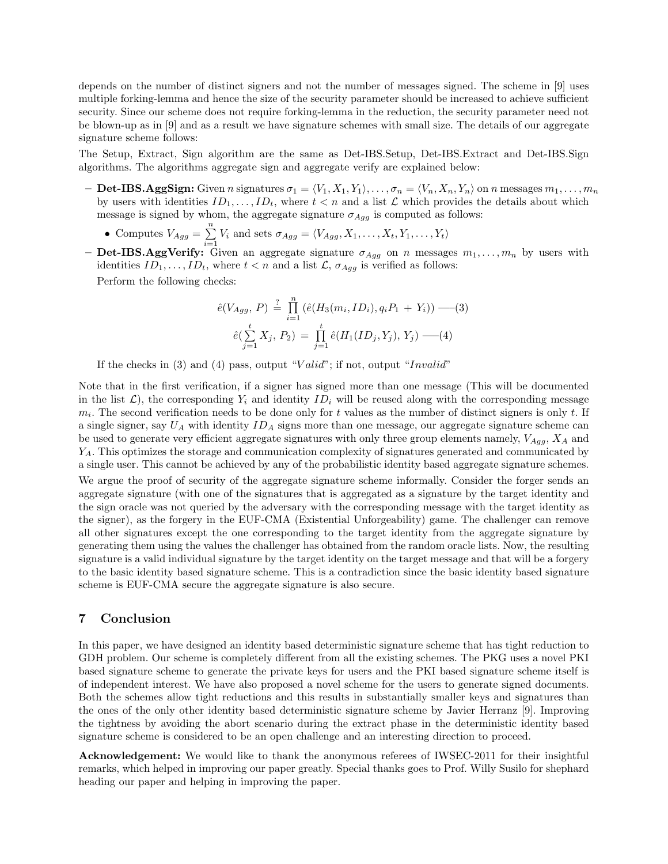depends on the number of distinct signers and not the number of messages signed. The scheme in [9] uses multiple forking-lemma and hence the size of the security parameter should be increased to achieve sufficient security. Since our scheme does not require forking-lemma in the reduction, the security parameter need not be blown-up as in [9] and as a result we have signature schemes with small size. The details of our aggregate signature scheme follows:

The Setup, Extract, Sign algorithm are the same as Det-IBS.Setup, Det-IBS.Extract and Det-IBS.Sign algorithms. The algorithms aggregate sign and aggregate verify are explained below:

- **Det-IBS. AggSign:** Given n signatures  $\sigma_1 = \langle V_1, X_1, Y_1 \rangle, \ldots, \sigma_n = \langle V_n, X_n, Y_n \rangle$  on n messages  $m_1, \ldots, m_n$ by users with identities  $ID_1, \ldots, ID_t$ , where  $t < n$  and a list  $\mathcal L$  which provides the details about which message is signed by whom, the aggregate signature  $\sigma_{Agg}$  is computed as follows:
	- Computes  $V_{Agg} = \sum_{n=1}^{n}$  $\sum_{i=1} V_i$  and sets  $\sigma_{Agg} = \langle V_{Agg}, X_1, \ldots, X_t, Y_1, \ldots, Y_t \rangle$
- **Det-IBS.AggVerify:** Given an aggregate signature  $\sigma_{Agg}$  on n messages  $m_1, \ldots, m_n$  by users with identities  $ID_1, \ldots, ID_t$ , where  $t < n$  and a list  $\mathcal{L}, \sigma_{Agg}$  is verified as follows: Perform the following checks:

$$
\hat{e}(V_{Agg}, P) \stackrel{?}{=} \prod_{i=1}^{n} (\hat{e}(H_3(m_i, ID_i), q_i P_1 + Y_i)) \qquad (3)
$$

$$
\hat{e}(\sum_{j=1}^{t} X_j, P_2) = \prod_{j=1}^{t} \hat{e}(H_1(ID_j, Y_j), Y_j) \qquad (4)
$$

If the checks in  $(3)$  and  $(4)$  pass, output "Valid"; if not, output "Invalid"

Note that in the first verification, if a signer has signed more than one message (This will be documented in the list  $\mathcal{L}$ ), the corresponding Y<sub>i</sub> and identity  $ID_i$  will be reused along with the corresponding message  $m_i$ . The second verification needs to be done only for t values as the number of distinct signers is only t. If a single signer, say  $U_A$  with identity  $ID_A$  signs more than one message, our aggregate signature scheme can be used to generate very efficient aggregate signatures with only three group elements namely,  $V_{Aqq}$ ,  $X_A$  and  $Y_A$ . This optimizes the storage and communication complexity of signatures generated and communicated by a single user. This cannot be achieved by any of the probabilistic identity based aggregate signature schemes.

We argue the proof of security of the aggregate signature scheme informally. Consider the forger sends an aggregate signature (with one of the signatures that is aggregated as a signature by the target identity and the sign oracle was not queried by the adversary with the corresponding message with the target identity as the signer), as the forgery in the EUF-CMA (Existential Unforgeability) game. The challenger can remove all other signatures except the one corresponding to the target identity from the aggregate signature by generating them using the values the challenger has obtained from the random oracle lists. Now, the resulting signature is a valid individual signature by the target identity on the target message and that will be a forgery to the basic identity based signature scheme. This is a contradiction since the basic identity based signature scheme is EUF-CMA secure the aggregate signature is also secure.

# 7 Conclusion

In this paper, we have designed an identity based deterministic signature scheme that has tight reduction to GDH problem. Our scheme is completely different from all the existing schemes. The PKG uses a novel PKI based signature scheme to generate the private keys for users and the PKI based signature scheme itself is of independent interest. We have also proposed a novel scheme for the users to generate signed documents. Both the schemes allow tight reductions and this results in substantially smaller keys and signatures than the ones of the only other identity based deterministic signature scheme by Javier Herranz [9]. Improving the tightness by avoiding the abort scenario during the extract phase in the deterministic identity based signature scheme is considered to be an open challenge and an interesting direction to proceed.

Acknowledgement: We would like to thank the anonymous referees of IWSEC-2011 for their insightful remarks, which helped in improving our paper greatly. Special thanks goes to Prof. Willy Susilo for shephard heading our paper and helping in improving the paper.